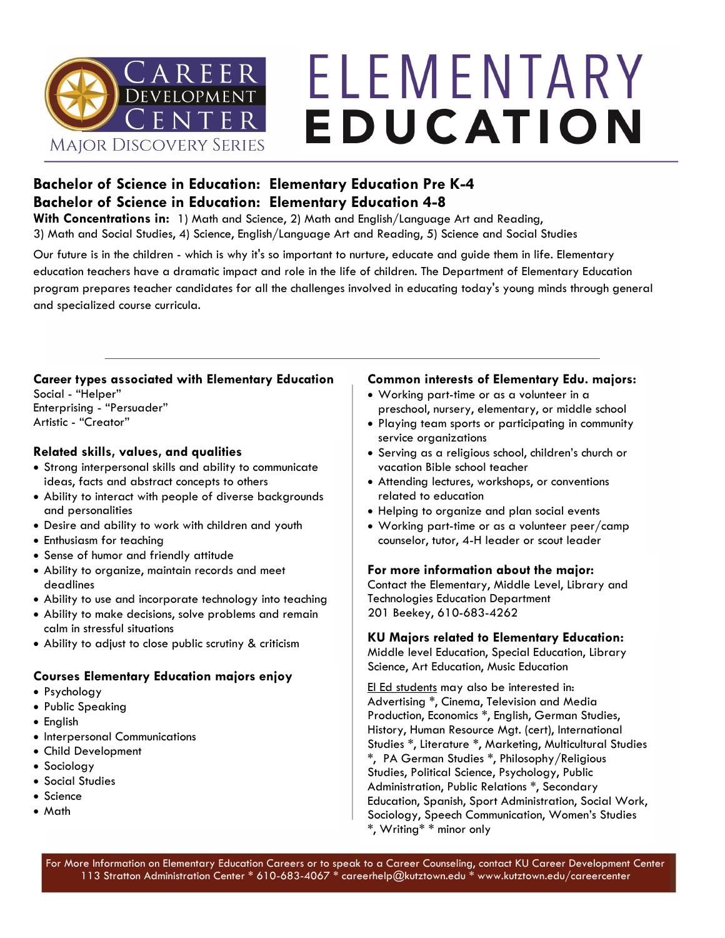

# ELEMENTARY EDUCATION

### **Bachelor of Science in Education: Elementary Education Pre K-4 Bachelor of Science in Education: Elementary Education 4-8**

**With Concentrations in:** 1) Math and Science, 2) Math and English/Language Art and Reading, 3) Math and Social Studies, 4) Science, English/Language Art and Reading, 5) Science and Social Studies

Our future is in the children - which is why it's so important to nurture, educate and guide them in life. Elementary education teachers have a dramatic impact and role in the life of children. The Department of Elementary Education program prepares teacher candidates for all the challenges involved in educating today's young minds through general and specialized course curricula.

### **Career types associated with Elementary Education**

Social - "Helper" Enterprising - "Persuader" Artistic - "Creator"

### **Related skills, values, and qualities**

- Strong interpersonal skills and ability to communicate ideas, facts and abstract concepts to others
- Ability to interact with people of diverse backgrounds and personalities
- Desire and ability to work with children and youth
- Enthusiasm for teaching
- Sense of humor and friendly attitude
- Ability to organize, maintain records and meet deadlines
- Ability to use and incorporate technology into teaching
- Ability to make decisions, solve problems and remain calm in stressful situations
- Ability to adjust to close public scrutiny & criticism

### **Courses Elementary Education majors enjoy**

- Psychology
- Public Speaking
- English
- Interpersonal Communications
- Child Development
- Sociology
- Social Studies
- Science
- Math

### **Common interests of Elementary Edu. majors:**

- Working part-time or as a volunteer in a preschool, nursery, elementary, or middle school
- Playing team sports or participating in community service organizations
- Serving as a religious school, children's church or vacation Bible school teacher
- Attending lectures, workshops, or conventions related to education
- Helping to organize and plan social events
- Working part-time or as a volunteer peer/camp counselor, tutor, 4-H leader or scout leader

### **For more information about the major:**

Contact the Elementary, Middle Level, Library and Technologies Education Department 201 Beekey, 610-683-4262

### **KU Majors related to Elementary Education:**

Middle level Education, Special Education, Library Science, Art Education, Music Education

El Ed students may also be interested in: Advertising \*, Cinema, Television and Media Production, Economics \*, English, German Studies, History, Human Resource Mgt. (cert), International Studies \*, Literature \*, Marketing, Multicultural Studies \*, PA German Studies \*, Philosophy/Religious Studies, Political Science, Psychology, Public Administration, Public Relations \*, Secondary Education, Spanish, Sport Administration, Social Work, Sociology, Speech Communication, Women's Studies \*, Writing\* \* minor only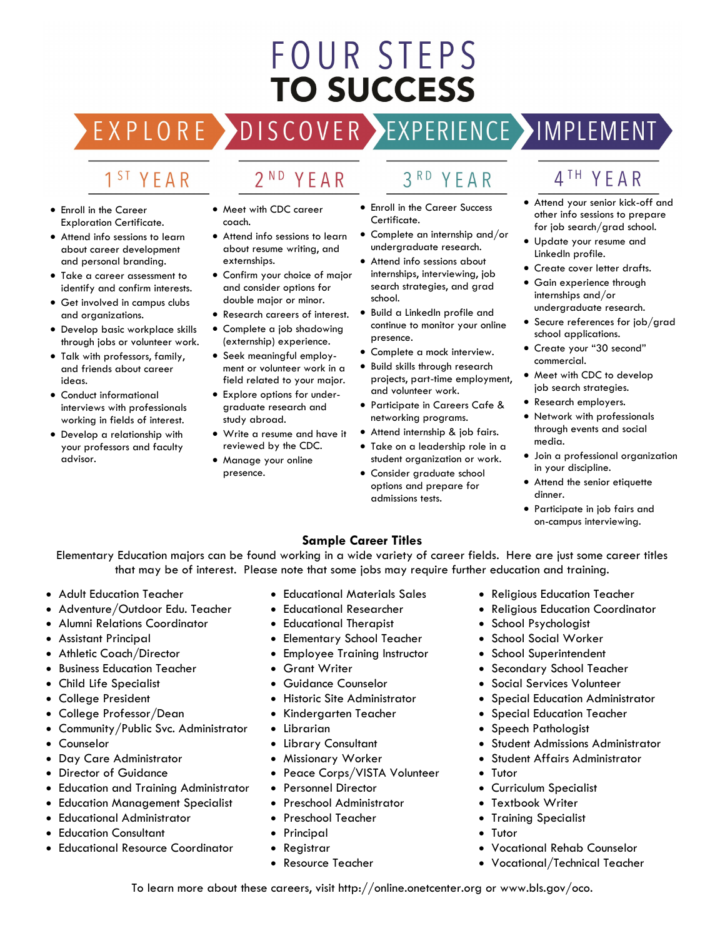# **FOUR STEPS TO SUCCESS**

EXPLORE > **DISCOVER** 

## 1<sup>ST</sup> YFAR

- Enroll in the Career Exploration Certificate.
- Attend info sessions to learn about career development and personal branding.
- Take a career assessment to identify and confirm interests.
- Get involved in campus clubs and organizations.
- Develop basic workplace skills through jobs or volunteer work.
- Talk with professors, family, and friends about career ideas.
- Conduct informational interviews with professionals working in fields of interest.
- Develop a relationship with your professors and faculty advisor.

• Meet with CDC career

YEAR

 $2ND$ 

- coach. • Attend info sessions to learn about resume writing, and externships.
- Confirm your choice of major and consider options for double major or minor.
- Research careers of interest.
- Complete a job shadowing (externship) experience.
- Seek meaningful employment or volunteer work in a field related to your major.
- Explore options for undergraduate research and study abroad.
- Write a resume and have it reviewed by the CDC.
- Manage your online presence.
- $3<sup>RD</sup>$ YFAR
- Enroll in the Career Success Certificate.
- Complete an internship and/or undergraduate research.
- Attend info sessions about internships, interviewing, job search strategies, and grad school.
- Build a LinkedIn profile and continue to monitor your online presence.
- Complete a mock interview.
- Build skills through research projects, part-time employment, and volunteer work.
- Participate in Careers Cafe & networking programs.
- Attend internship & job fairs.
- Take on a leadership role in a student organization or work.
- Consider graduate school options and prepare for admissions tests.

## 4<sup>TH</sup> YFAR

EXPERIENCE >IMPLEMENT

- Attend your senior kick-off and other info sessions to prepare for job search/grad school.
- Update your resume and LinkedIn profile.
- Create cover letter drafts.
- Gain experience through internships and/or undergraduate research.
- Secure references for job/grad school applications.
- Create your "30 second" commercial.
- Meet with CDC to develop job search strategies.
- Research employers.
- Network with professionals through events and social media.
- Join a professional organization in your discipline.
- Attend the senior etiquette dinner.
- Participate in job fairs and on-campus interviewing.

### **Sample Career Titles**

Elementary Education majors can be found working in a wide variety of career fields. Here are just some career titles that may be of interest. Please note that some jobs may require further education and training.

- Adult Education Teacher
- Adventure/Outdoor Edu. Teacher
- Alumni Relations Coordinator
- Assistant Principal
- Athletic Coach/Director
- Business Education Teacher
- Child Life Specialist
- College President
- College Professor/Dean
- Community/Public Svc. Administrator
- Counselor
- Day Care Administrator
- Director of Guidance
- Education and Training Administrator
- Education Management Specialist
- Educational Administrator
- **Education Consultant**
- Educational Resource Coordinator
- Educational Materials Sales
- Educational Researcher
- Educational Therapist
- Elementary School Teacher
- Employee Training Instructor
- Grant Writer
- Guidance Counselor
- Historic Site Administrator
- Kindergarten Teacher
- **Librarian**
- Library Consultant
- Missionary Worker
- Peace Corps/VISTA Volunteer

To learn more about these careers, visit http://online.onetcenter.org or www.bls.gov/oco.

- Personnel Director
- Preschool Administrator
- Preschool Teacher
- Principal
- Registrar
- Resource Teacher
- Religious Education Teacher
- Religious Education Coordinator
- School Psychologist
- School Social Worker
- School Superintendent
- Secondary School Teacher
- Social Services Volunteer
- Special Education Administrator
- Special Education Teacher
- Speech Pathologist
- Student Admissions Administrator
- Student Affairs Administrator

• Vocational Rehab Counselor • Vocational/Technical Teacher

- Tutor
- Curriculum Specialist
- Textbook Writer
- Training Specialist
- **Tutor**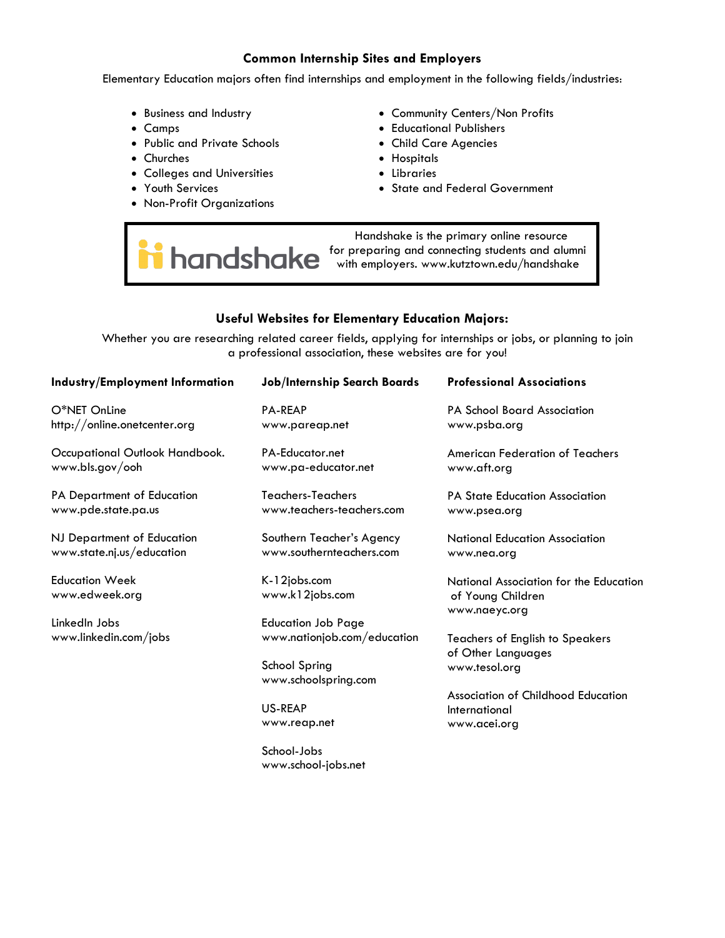### **Common Internship Sites and Employers**

Elementary Education majors often find internships and employment in the following fields/industries:

- Business and Industry
- Camps
- Public and Private Schools
- Churches
- Colleges and Universities
- Youth Services
- Non-Profit Organizations
- Community Centers/Non Profits
- Educational Publishers
- Child Care Agencies
- Hospitals
- Libraries
- State and Federal Government

 Handshake is the primary online resource handshake for preparing and connecting students and alumni with employers. [www.kutztown.edu/h](http://www.kutztown.edu/careercenter)andshake

### **Useful Websites for Elementary Education Majors:**

Whether you are researching related career fields, applying for internships or jobs, or planning to join a professional association, these websites are for you!

| Industry/Employment Information                         | Job/Internship Search Boards                          | <b>Professional Associations</b>                                             |
|---------------------------------------------------------|-------------------------------------------------------|------------------------------------------------------------------------------|
| O*NET OnLine<br>http://online.onetcenter.org            | <b>PA-REAP</b><br>www.pareap.net                      | <b>PA School Board Association</b><br>www.psba.org                           |
| Occupational Outlook Handbook.<br>www.bls.gov/ooh       | PA-Educator.net<br>www.pa-educator.net                | American Federation of Teachers<br>www.aft.org                               |
| PA Department of Education<br>www.pde.state.pa.us       | Teachers-Teachers<br>www.teachers-teachers.com        | <b>PA State Education Association</b><br>www.psea.org                        |
| NJ Department of Education<br>www.state.nj.us/education | Southern Teacher's Agency<br>www.southernteachers.com | <b>National Education Association</b><br>www.nea.org                         |
| <b>Education Week</b><br>www.edweek.org                 | K-12jobs.com<br>www.k12jobs.com                       | National Association for the Education<br>of Young Children<br>www.naeyc.org |
| LinkedIn Jobs                                           | <b>Education Job Page</b>                             |                                                                              |
| www.linkedin.com/jobs                                   | www.nationjob.com/education                           | <b>Teachers of English to Speakers</b><br>of Other Languages                 |
|                                                         | School Spring<br>www.schoolspring.com                 | www.tesol.org                                                                |
|                                                         |                                                       | Association of Childhood Education                                           |
|                                                         | US-REAP                                               | International                                                                |
|                                                         | www.reap.net                                          | www.acei.org                                                                 |
|                                                         | School-Jobs                                           |                                                                              |

www.school-jobs.net